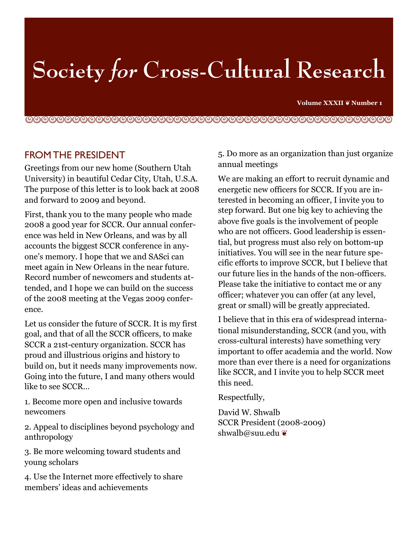# **Society for Cross-Cultural Research**

**Volume XXXII** ❦ **Number 1**

!"!"!"!"!"!"!"!"!"!"!"!"!"!"!"!"!"!"!"!"!"!"!"!

### FROM THE PRESIDENT

Greetings from our new home (Southern Utah University) in beautiful Cedar City, Utah, U.S.A. The purpose of this letter is to look back at 2008 and forward to 2009 and beyond.

First, thank you to the many people who made 2008 a good year for SCCR. Our annual conference was held in New Orleans, and was by all accounts the biggest SCCR conference in anyone's memory. I hope that we and SASci can meet again in New Orleans in the near future. Record number of newcomers and students attended, and I hope we can build on the success of the 2008 meeting at the Vegas 2009 conference.

Let us consider the future of SCCR. It is my first goal, and that of all the SCCR officers, to make SCCR a 21st-century organization. SCCR has proud and illustrious origins and history to build on, but it needs many improvements now. Going into the future, I and many others would like to see SCCR…

1. Become more open and inclusive towards newcomers

2. Appeal to disciplines beyond psychology and anthropology

3. Be more welcoming toward students and young scholars

4. Use the Internet more effectively to share members' ideas and achievements

5. Do more as an organization than just organize annual meetings

We are making an effort to recruit dynamic and energetic new officers for SCCR. If you are interested in becoming an officer, I invite you to step forward. But one big key to achieving the above five goals is the involvement of people who are not officers. Good leadership is essential, but progress must also rely on bottom-up initiatives. You will see in the near future specific efforts to improve SCCR, but I believe that our future lies in the hands of the non-officers. Please take the initiative to contact me or any officer; whatever you can offer (at any level, great or small) will be greatly appreciated.

I believe that in this era of widespread international misunderstanding, SCCR (and you, with cross-cultural interests) have something very important to offer academia and the world. Now more than ever there is a need for organizations like SCCR, and I invite you to help SCCR meet this need.

Respectfully,

David W. Shwalb SCCR President (2008-2009) shwalb@suu.edu ❦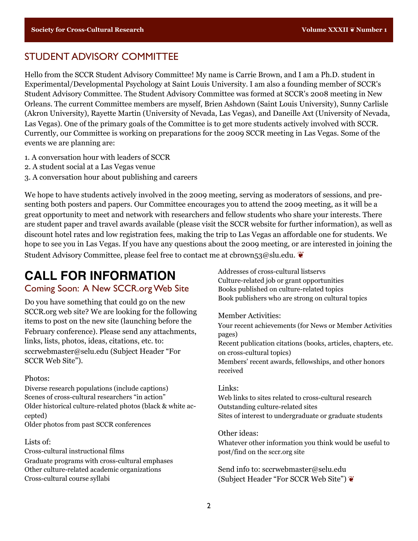### STUDENT ADVISORY COMMITTEE

Hello from the SCCR Student Advisory Committee! My name is Carrie Brown, and I am a Ph.D. student in Experimental/Developmental Psychology at Saint Louis University. I am also a founding member of SCCR's Student Advisory Committee. The Student Advisory Committee was formed at SCCR's 2008 meeting in New Orleans. The current Committee members are myself, Brien Ashdown (Saint Louis University), Sunny Carlisle (Akron University), Rayette Martin (University of Nevada, Las Vegas), and Daneille Axt (University of Nevada, Las Vegas). One of the primary goals of the Committee is to get more students actively involved with SCCR. Currently, our Committee is working on preparations for the 2009 SCCR meeting in Las Vegas. Some of the events we are planning are:

- 1. A conversation hour with leaders of SCCR
- 2. A student social at a Las Vegas venue
- 3. A conversation hour about publishing and careers

We hope to have students actively involved in the 2009 meeting, serving as moderators of sessions, and presenting both posters and papers. Our Committee encourages you to attend the 2009 meeting, as it will be a great opportunity to meet and network with researchers and fellow students who share your interests. There are student paper and travel awards available (please visit the SCCR website for further information), as well as discount hotel rates and low registration fees, making the trip to Las Vegas an affordable one for students. We hope to see you in Las Vegas. If you have any questions about the 2009 meeting, or are interested in joining the Student Advisory Committee, please feel free to contact me at cbrown53@slu.edu.  $\bullet$ 

# **CALL FOR INFORMATION**

#### Coming Soon: A New SCCR.org Web Site

Do you have something that could go on the new SCCR.org web site? We are looking for the following items to post on the new site (launching before the February conference). Please send any attachments, links, lists, photos, ideas, citations, etc. to: sccrwebmaster@selu.edu (Subject Header "For SCCR Web Site").

#### Photos:

Diverse research populations (include captions) Scenes of cross-cultural researchers "in action" Older historical culture-related photos (black & white accepted) Older photos from past SCCR conferences

#### Lists of:

Cross-cultural instructional films Graduate programs with cross-cultural emphases Other culture-related academic organizations Cross-cultural course syllabi

Addresses of cross-cultural listservs Culture-related job or grant opportunities Books published on culture-related topics Book publishers who are strong on cultural topics

Member Activities:

Your recent achievements (for News or Member Activities pages)

Recent publication citations (books, articles, chapters, etc. on cross-cultural topics)

Members' recent awards, fellowships, and other honors received

#### Links:

Web links to sites related to cross-cultural research Outstanding culture-related sites Sites of interest to undergraduate or graduate students

#### Other ideas:

Whatever other information you think would be useful to post/find on the sccr.org site

Send info to: sccrwebmaster@selu.edu (Subject Header "For SCCR Web Site") ❦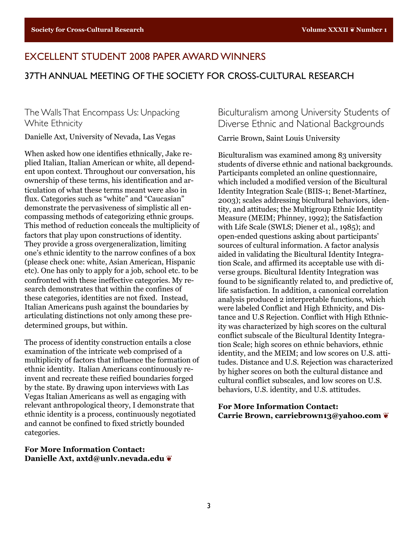## EXCELLENT STUDENT 2008 PAPER AWARD WINNERS

#### 37TH ANNUAL MEETING OF THE SOCIETY FOR CROSS-CULTURAL RESEARCH

#### The Walls That Encompass Us: Unpacking White Ethnicity

Danielle Axt, University of Nevada, Las Vegas

When asked how one identifies ethnically, Jake replied Italian, Italian American or white, all dependent upon context. Throughout our conversation, his ownership of these terms, his identification and articulation of what these terms meant were also in flux. Categories such as "white" and "Caucasian" demonstrate the pervasiveness of simplistic all encompassing methods of categorizing ethnic groups. This method of reduction conceals the multiplicity of factors that play upon constructions of identity. They provide a gross overgeneralization, limiting one's ethnic identity to the narrow confines of a box (please check one: white, Asian American, Hispanic etc). One has only to apply for a job, school etc. to be confronted with these ineffective categories. My research demonstrates that within the confines of these categories, identities are not fixed. Instead, Italian Americans push against the boundaries by articulating distinctions not only among these predetermined groups, but within.

The process of identity construction entails a close examination of the intricate web comprised of a multiplicity of factors that influence the formation of ethnic identity. Italian Americans continuously reinvent and recreate these reified boundaries forged by the state. By drawing upon interviews with Las Vegas Italian Americans as well as engaging with relevant anthropological theory, I demonstrate that ethnic identity is a process, continuously negotiated and cannot be confined to fixed strictly bounded categories.

**For More Information Contact: Danielle Axt, axtd@unlv.nevada.edu** ❦

Biculturalism among University Students of Diverse Ethnic and National Backgrounds

Carrie Brown, Saint Louis University

Biculturalism was examined among 83 university students of diverse ethnic and national backgrounds. Participants completed an online questionnaire, which included a modified version of the Bicultural Identity Integration Scale (BIIS-1; Benet-Martínez, 2003); scales addressing bicultural behaviors, identity, and attitudes; the Multigroup Ethnic Identity Measure (MEIM; Phinney, 1992); the Satisfaction with Life Scale (SWLS; Diener et al., 1985); and open-ended questions asking about participants' sources of cultural information. A factor analysis aided in validating the Bicultural Identity Integration Scale, and affirmed its acceptable use with diverse groups. Bicultural Identity Integration was found to be significantly related to, and predictive of, life satisfaction. In addition, a canonical correlation analysis produced 2 interpretable functions, which were labeled Conflict and High Ethnicity, and Distance and U.S Rejection. Conflict with High Ethnicity was characterized by high scores on the cultural conflict subscale of the Bicultural Identity Integration Scale; high scores on ethnic behaviors, ethnic identity, and the MEIM; and low scores on U.S. attitudes. Distance and U.S. Rejection was characterized by higher scores on both the cultural distance and cultural conflict subscales, and low scores on U.S. behaviors, U.S. identity, and U.S. attitudes.

**For More Information Contact: Carrie Brown, carriebrown13@yahoo.com** ❦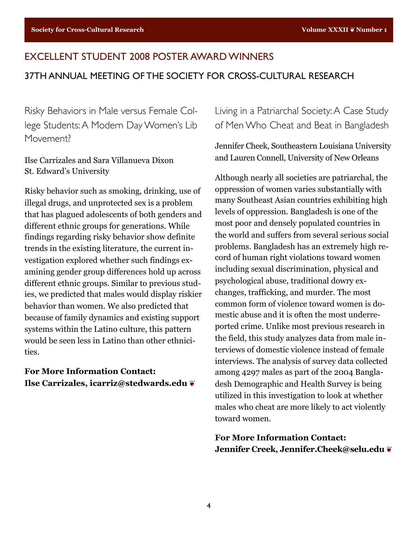# EXCELLENT STUDENT 2008 POSTER AWARD WINNERS 37TH ANNUAL MEETING OF THE SOCIETY FOR CROSS-CULTURAL RESEARCH

Risky Behaviors in Male versus Female College Students: A Modern Day Women's Lib Movement?

Ilse Carrizales and Sara Villanueva Dixon St. Edward's University

Risky behavior such as smoking, drinking, use of illegal drugs, and unprotected sex is a problem that has plagued adolescents of both genders and different ethnic groups for generations. While findings regarding risky behavior show definite trends in the existing literature, the current investigation explored whether such findings examining gender group differences hold up across different ethnic groups. Similar to previous studies, we predicted that males would display riskier behavior than women. We also predicted that because of family dynamics and existing support systems within the Latino culture, this pattern would be seen less in Latino than other ethnicities.

**For More Information Contact: Ilse Carrizales, icarriz@stedwards.edu** ❦ Living in a Patriarchal Society: A Case Study of Men Who Cheat and Beat in Bangladesh

Jennifer Cheek, Southeastern Louisiana University and Lauren Connell, University of New Orleans

Although nearly all societies are patriarchal, the oppression of women varies substantially with many Southeast Asian countries exhibiting high levels of oppression. Bangladesh is one of the most poor and densely populated countries in the world and suffers from several serious social problems. Bangladesh has an extremely high record of human right violations toward women including sexual discrimination, physical and psychological abuse, traditional dowry exchanges, trafficking, and murder. The most common form of violence toward women is domestic abuse and it is often the most underreported crime. Unlike most previous research in the field, this study analyzes data from male interviews of domestic violence instead of female interviews. The analysis of survey data collected among 4297 males as part of the 2004 Bangladesh Demographic and Health Survey is being utilized in this investigation to look at whether males who cheat are more likely to act violently toward women.

**For More Information Contact: Jennifer Creek, Jennifer.Cheek@selu.edu** ❦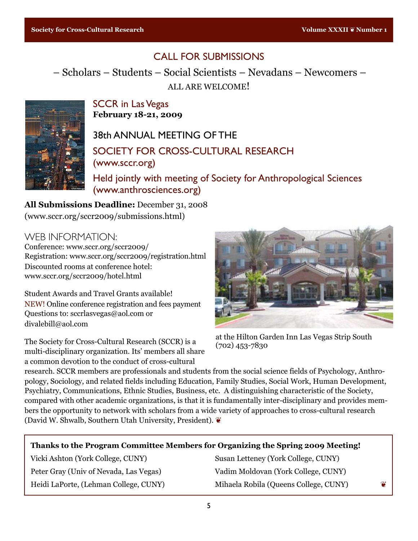# CALL FOR SUBMISSIONS

– Scholars – Students – Social Scientists – Nevadans – Newcomers – ALL ARE WELCOME!



SCCR in Las Vegas **February 18-21, 2009**

38th ANNUAL MEETING OF THE SOCIETY FOR CROSS-CULTURAL RESEARCH (www.sccr.org)

Held jointly with meeting of Society for Anthropological Sciences (www.anthrosciences.org)

**All Submissions Deadline:** December 31, 2008 (www.sccr.org/sccr2009/submissions.html)

WEB INFORMATION:

Conference: www.sccr.org/sccr2009/ Registration: www.sccr.org/sccr2009/registration.html Discounted rooms at conference hotel: www.sccr.org/sccr2009/hotel.html

Student Awards and Travel Grants available! NEW! Online conference registration and fees payment Questions to: sccrlasvegas@aol.com or divalebill@aol.com

The Society for Cross-Cultural Research (SCCR) is a multi-disciplinary organization. Its' members all share a common devotion to the conduct of cross-cultural



at the Hilton Garden Inn Las Vegas Strip South (702) 453-7830

research. SCCR members are professionals and students from the social science fields of Psychology, Anthropology, Sociology, and related fields including Education, Family Studies, Social Work, Human Development, Psychiatry, Communications, Ethnic Studies, Business, etc. A distinguishing characteristic of the Society, compared with other academic organizations, is that it is fundamentally inter-disciplinary and provides members the opportunity to network with scholars from a wide variety of approaches to cross-cultural research (David W. Shwalb, Southern Utah University, President). ❦

#### **Thanks to the Program Committee Members for Organizing the Spring 2009 Meeting!**

Vicki Ashton (York College, CUNY) Susan Letteney (York College, CUNY)

Peter Gray (Univ of Nevada, Las Vegas) Vadim Moldovan (York College, CUNY) Heidi LaPorte, (Lehman College, CUNY) Mihaela Robila (Queens College, CUNY)  $\bullet$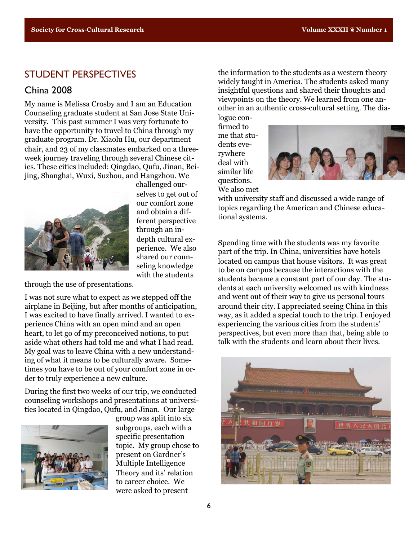#### STUDENT PERSPECTIVES

### China 2008

My name is Melissa Crosby and I am an Education Counseling graduate student at San Jose State University. This past summer I was very fortunate to have the opportunity to travel to China through my graduate program. Dr. Xiaolu Hu, our department chair, and 23 of my classmates embarked on a threeweek journey traveling through several Chinese cities. These cities included: Qingdao, Qufu, Jinan, Beijing, Shanghai, Wuxi, Suzhou, and Hangzhou. We



challenged ourselves to get out of our comfort zone and obtain a different perspective through an indepth cultural experience. We also shared our counseling knowledge with the students

through the use of presentations.

I was not sure what to expect as we stepped off the airplane in Beijing, but after months of anticipation, I was excited to have finally arrived. I wanted to experience China with an open mind and an open heart, to let go of my preconceived notions, to put aside what others had told me and what I had read. My goal was to leave China with a new understanding of what it means to be culturally aware. Sometimes you have to be out of your comfort zone in order to truly experience a new culture.

During the first two weeks of our trip, we conducted counseling workshops and presentations at universities located in Qingdao, Qufu, and Jinan. Our large



group was split into six subgroups, each with a specific presentation topic. My group chose to present on Gardner's Multiple Intelligence Theory and its' relation to career choice. We were asked to present

the information to the students as a western theory widely taught in America. The students asked many insightful questions and shared their thoughts and viewpoints on the theory. We learned from one another in an authentic cross-cultural setting. The dia-

logue confirmed to me that students everywhere deal with similar life questions. We also met



with university staff and discussed a wide range of topics regarding the American and Chinese educational systems.

Spending time with the students was my favorite part of the trip. In China, universities have hotels located on campus that house visitors. It was great to be on campus because the interactions with the students became a constant part of our day. The students at each university welcomed us with kindness and went out of their way to give us personal tours around their city. I appreciated seeing China in this way, as it added a special touch to the trip. I enjoyed experiencing the various cities from the students' perspectives, but even more than that, being able to talk with the students and learn about their lives.

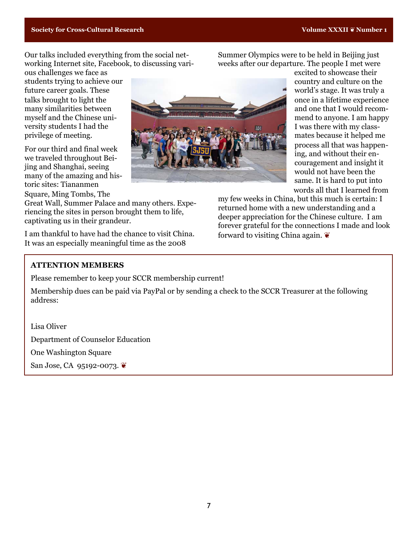Our talks included everything from the social networking Internet site, Facebook, to discussing vari-

ous challenges we face as students trying to achieve our future career goals. These talks brought to light the many similarities between myself and the Chinese university students I had the privilege of meeting.

For our third and final week we traveled throughout Beijing and Shanghai, seeing many of the amazing and historic sites: Tiananmen Square, Ming Tombs, The

Great Wall, Summer Palace and many others. Experiencing the sites in person brought them to life, captivating us in their grandeur.

I am thankful to have had the chance to visit China. It was an especially meaningful time as the 2008

weeks after our departure. The people I met were excited to showcase their country and culture on the world's stage. It was truly a once in a lifetime experience and one that I would recommend to anyone. I am happy I was there with my classmates because it helped me process all that was happening, and without their encouragement and insight it would not have been the same. It is hard to put into words all that I learned from

my few weeks in China, but this much is certain: I returned home with a new understanding and a deeper appreciation for the Chinese culture. I am forever grateful for the connections I made and look forward to visiting China again. ❦

Summer Olympics were to be held in Beijing just

#### **ATTENTION MEMBERS**

Please remember to keep your SCCR membership current!

Membership dues can be paid via PayPal or by sending a check to the SCCR Treasurer at the following address:

Lisa Oliver Department of Counselor Education One Washington Square San Jose, CA 95192-0073. **€**